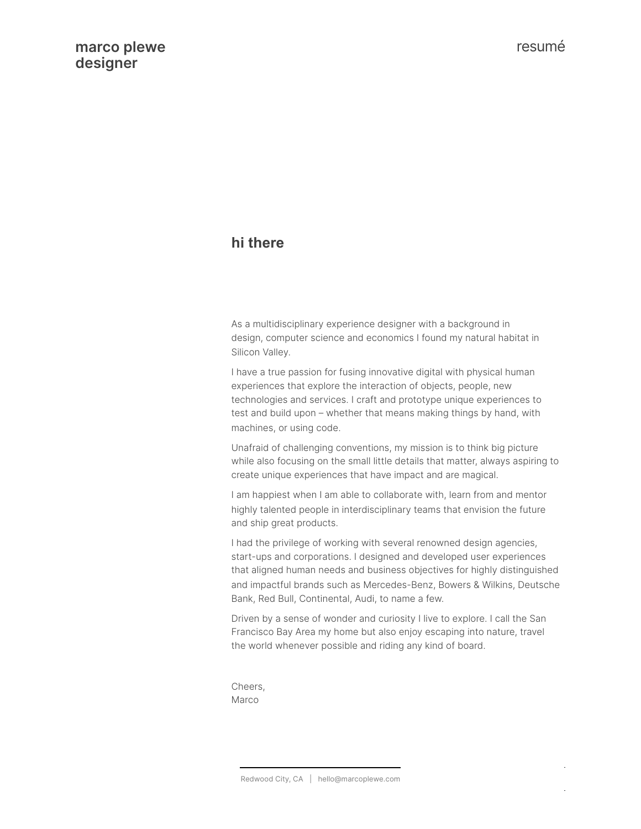# **hi there**

As a multidisciplinary experience designer with a background in design, computer science and economics I found my natural habitat in Silicon Valley.

I have a true passion for fusing innovative digital with physical human experiences that explore the interaction of objects, people, new technologies and services. I craft and prototype unique experiences to test and build upon – whether that means making things by hand, with machines, or using code.

Unafraid of challenging conventions, my mission is to think big picture while also focusing on the small little details that matter, always aspiring to create unique experiences that have impact and are magical.

I am happiest when I am able to collaborate with, learn from and mentor highly talented people in interdisciplinary teams that envision the future and ship great products.

I had the privilege of working with several renowned design agencies, start-ups and corporations. I designed and developed user experiences that aligned human needs and business objectives for highly distinguished and impactful brands such as Mercedes-Benz, Bowers & Wilkins, Deutsche Bank, Red Bull, Continental, Audi, to name a few.

Driven by a sense of wonder and curiosity I live to explore. I call the San Francisco Bay Area my home but also enjoy escaping into nature, travel the world whenever possible and riding any kind of board.

Cheers, Marco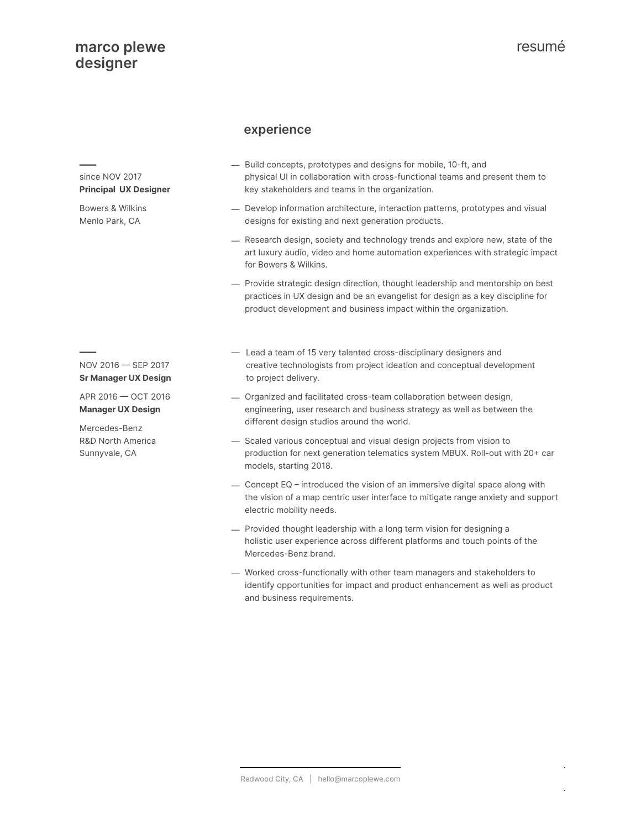since NOV 2017 **Principal UX Designer**

Bowers & Wilkins Menlo Park, CA

——

#### **- experience**

- Build concepts, prototypes and designs for mobile, 10-ft, and physical UI in collaboration with cross-functional teams and present them to key stakeholders and teams in the organization.
- Develop information architecture, interaction patterns, prototypes and visual designs for existing and next generation products.
- Research design, society and technology trends and explore new, state of the art luxury audio, video and home automation experiences with strategic impact for Bowers & Wilkins.
- Provide strategic design direction, thought leadership and mentorship on best practices in UX design and be an evangelist for design as a key discipline for product development and business impact within the organization.
- $NOV 2016 - SEP 2017$ **Sr Manager UX Design**

 $APR 2016 - OCT 2016$ **Manager UX Design**

Mercedes-Benz R&D North America Sunnyvale, CA

- Lead a team of 15 very talented cross-disciplinary designers and creative technologists from project ideation and conceptual development to project delivery.
- Organized and facilitated cross-team collaboration between design, engineering, user research and business strategy as well as between the different design studios around the world.
- Scaled various conceptual and visual design projects from vision to production for next generation telematics system MBUX. Roll-out with 20+ car models, starting 2018.
- $-$  Concept EQ introduced the vision of an immersive digital space along with the vision of a map centric user interface to mitigate range anxiety and support electric mobility needs.
- Provided thought leadership with a long term vision for designing a holistic user experience across different platforms and touch points of the Mercedes-Benz brand.
- Worked cross-functionally with other team managers and stakeholders to identify opportunities for impact and product enhancement as well as product and business requirements.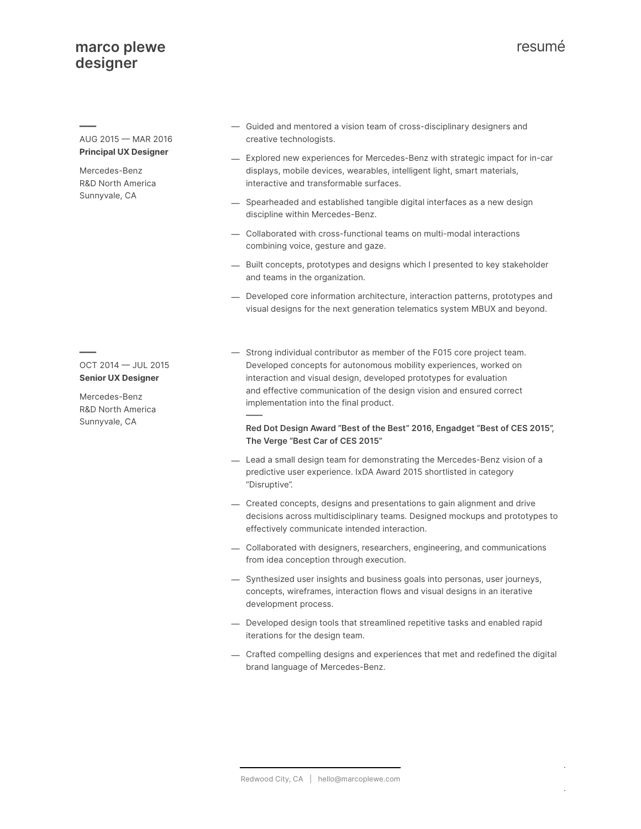$AUG 2015 - MAR 2016$ **Principal UX Designer**

Mercedes-Benz R&D North America Sunnyvale, CA

—

- Guided and mentored a vision team of cross-disciplinary designers and creative technologists.
- Explored new experiences for Mercedes-Benz with strategic impact for in-car displays, mobile devices, wearables, intelligent light, smart materials, interactive and transformable surfaces.
- Spearheaded and established tangible digital interfaces as a new design discipline within Mercedes-Benz.
- Collaborated with cross-functional teams on multi-modal interactions combining voice, gesture and gaze.
- Built concepts, prototypes and designs which I presented to key stakeholder and teams in the organization.
- Developed core information architecture, interaction patterns, prototypes and visual designs for the next generation telematics system MBUX and beyond.
- $OCT 2014 JUL 2015$ **Senior UX Designer**

—

Mercedes-Benz R&D North America Sunnyvale, CA

— Strong individual contributor as member of the F015 core project team. Developed concepts for autonomous mobility experiences, worked on interaction and visual design, developed prototypes for evaluation and effective communication of the design vision and ensured correct implementation into the final product.

——

#### **Red Dot Design Award "Best of the Best" 2016, Engadget "Best of CES 2015", The Verge "Best Car of CES 2015"**

- Lead a small design team for demonstrating the Mercedes-Benz vision of a predictive user experience. IxDA Award 2015 shortlisted in category "Disruptive".
- Created concepts, designs and presentations to gain alignment and drive decisions across multidisciplinary teams. Designed mockups and prototypes to effectively communicate intended interaction.
- Collaborated with designers, researchers, engineering, and communications from idea conception through execution.
- Synthesized user insights and business goals into personas, user journeys, concepts, wireframes, interaction flows and visual designs in an iterative development process.
- Developed design tools that streamlined repetitive tasks and enabled rapid iterations for the design team.
- Crafted compelling designs and experiences that met and redefined the digital brand language of Mercedes-Benz.

resumé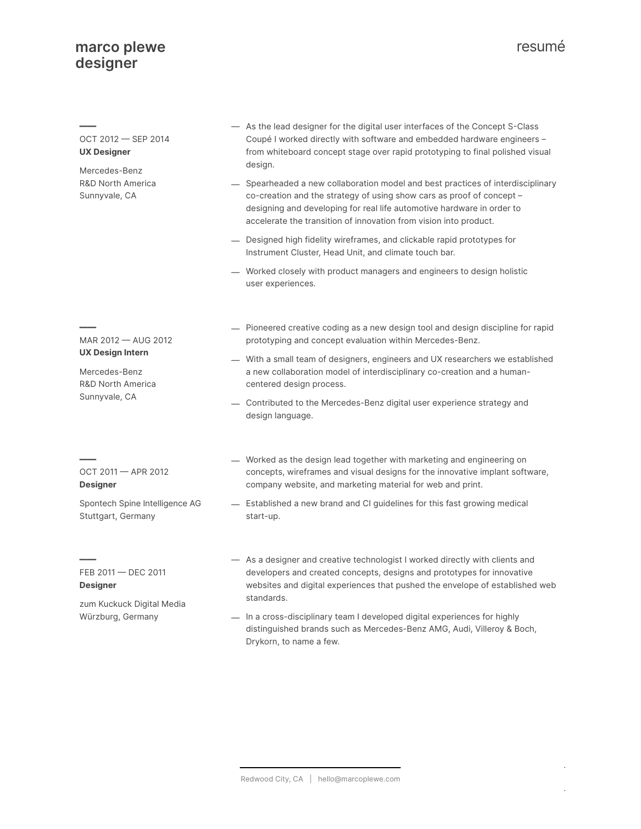| OCT 2012 - SEP 2014<br><b>UX Designer</b><br>Mercedes-Benz<br><b>R&amp;D North America</b><br>Sunnyvale, CA | - As the lead designer for the digital user interfaces of the Concept S-Class<br>Coupé I worked directly with software and embedded hardware engineers -<br>from whiteboard concept stage over rapid prototyping to final polished visual<br>design.<br>- Spearheaded a new collaboration model and best practices of interdisciplinary<br>co-creation and the strategy of using show cars as proof of concept -<br>designing and developing for real life automotive hardware in order to |
|-------------------------------------------------------------------------------------------------------------|--------------------------------------------------------------------------------------------------------------------------------------------------------------------------------------------------------------------------------------------------------------------------------------------------------------------------------------------------------------------------------------------------------------------------------------------------------------------------------------------|
|                                                                                                             | accelerate the transition of innovation from vision into product.<br>- Designed high fidelity wireframes, and clickable rapid prototypes for<br>Instrument Cluster, Head Unit, and climate touch bar.                                                                                                                                                                                                                                                                                      |
|                                                                                                             | - Worked closely with product managers and engineers to design holistic<br>user experiences.                                                                                                                                                                                                                                                                                                                                                                                               |
| MAR 2012 - AUG 2012<br>UX Design Intern<br>Mercedes-Benz<br>R&D North America<br>Sunnyvale, CA              | - Pioneered creative coding as a new design tool and design discipline for rapid<br>prototyping and concept evaluation within Mercedes-Benz.<br>- With a small team of designers, engineers and UX researchers we established<br>a new collaboration model of interdisciplinary co-creation and a human-<br>centered design process.<br>— Contributed to the Mercedes-Benz digital user experience strategy and<br>design language.                                                        |
| OCT 2011 - APR 2012<br>Designer<br>Spontech Spine Intelligence AG<br>Stuttgart, Germany                     | - Worked as the design lead together with marketing and engineering on<br>concepts, wireframes and visual designs for the innovative implant software,<br>company website, and marketing material for web and print.<br>- Established a new brand and CI guidelines for this fast growing medical<br>start-up.                                                                                                                                                                             |
| FEB 2011 - DEC 2011<br>Designer<br>zum Kuckuck Digital Media<br>Würzburg, Germany                           | - As a designer and creative technologist I worked directly with clients and<br>developers and created concepts, designs and prototypes for innovative<br>websites and digital experiences that pushed the envelope of established web<br>standards.                                                                                                                                                                                                                                       |
|                                                                                                             | - In a cross-disciplinary team I developed digital experiences for highly<br>distinguished brands such as Mercedes-Benz AMG, Audi, Villeroy & Boch,<br>Drykorn, to name a few.                                                                                                                                                                                                                                                                                                             |

resumé

 $\bar{\mathcal{A}}$ 

 $\bar{\gamma}$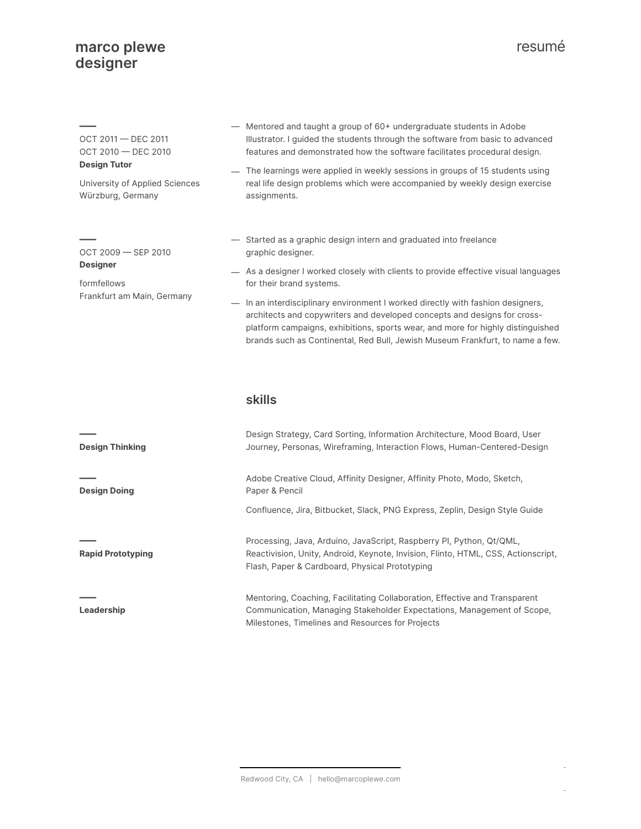# resumé

 $\bar{\beta}$ 

 $\bar{\gamma}$ 

| OCT 2011 - DEC 2011<br>OCT 2010 - DEC 2010<br><b>Design Tutor</b><br>University of Applied Sciences<br>Würzburg, Germany | - Mentored and taught a group of 60+ undergraduate students in Adobe<br>Illustrator. I guided the students through the software from basic to advanced<br>features and demonstrated how the software facilitates procedural design.<br>- The learnings were applied in weekly sessions in groups of 15 students using<br>real life design problems which were accompanied by weekly design exercise<br>assignments.                                                                                                                          |
|--------------------------------------------------------------------------------------------------------------------------|----------------------------------------------------------------------------------------------------------------------------------------------------------------------------------------------------------------------------------------------------------------------------------------------------------------------------------------------------------------------------------------------------------------------------------------------------------------------------------------------------------------------------------------------|
| $OCT 2009 - SEP 2010$<br><b>Designer</b><br>formfellows<br>Frankfurt am Main, Germany                                    | - Started as a graphic design intern and graduated into freelance<br>graphic designer.<br>- As a designer I worked closely with clients to provide effective visual languages<br>for their brand systems.<br>- In an interdisciplinary environment I worked directly with fashion designers,<br>architects and copywriters and developed concepts and designs for cross-<br>platform campaigns, exhibitions, sports wear, and more for highly distinguished<br>brands such as Continental, Red Bull, Jewish Museum Frankfurt, to name a few. |
|                                                                                                                          | <b>skills</b>                                                                                                                                                                                                                                                                                                                                                                                                                                                                                                                                |
| <b>Design Thinking</b>                                                                                                   | Design Strategy, Card Sorting, Information Architecture, Mood Board, User<br>Journey, Personas, Wireframing, Interaction Flows, Human-Centered-Design                                                                                                                                                                                                                                                                                                                                                                                        |
| <b>Design Doing</b>                                                                                                      | Adobe Creative Cloud, Affinity Designer, Affinity Photo, Modo, Sketch,<br>Paper & Pencil<br>Confluence, Jira, Bitbucket, Slack, PNG Express, Zeplin, Design Style Guide                                                                                                                                                                                                                                                                                                                                                                      |
| <b>Rapid Prototyping</b>                                                                                                 | Processing, Java, Arduino, JavaScript, Raspberry PI, Python, Qt/QML,<br>Reactivision, Unity, Android, Keynote, Invision, Flinto, HTML, CSS, Actionscript,<br>Flash, Paper & Cardboard, Physical Prototyping                                                                                                                                                                                                                                                                                                                                  |
| Leadership                                                                                                               | Mentoring, Coaching, Facilitating Collaboration, Effective and Transparent<br>Communication, Managing Stakeholder Expectations, Management of Scope,<br>Milestones, Timelines and Resources for Projects                                                                                                                                                                                                                                                                                                                                     |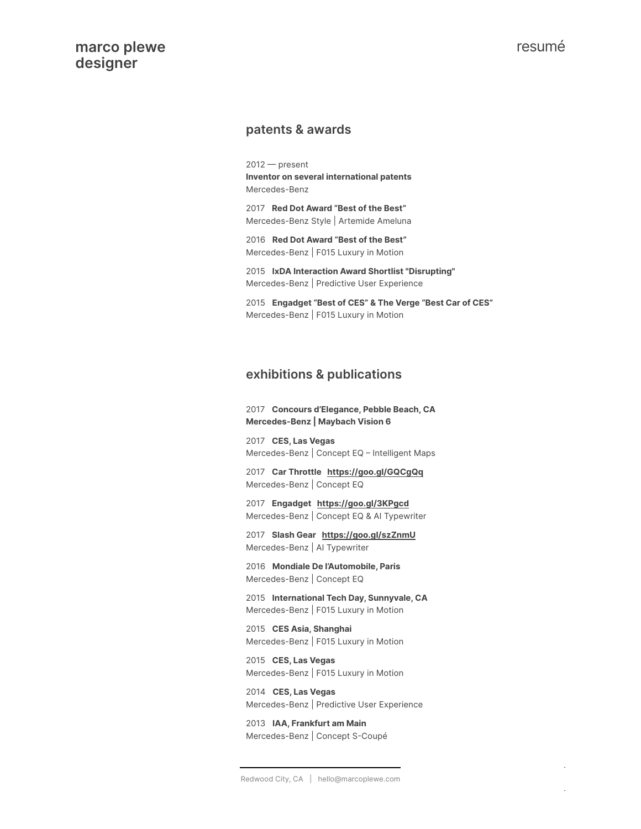#### **• patents & awards**

 $2012$  - present **Inventor on several international patents** Mercedes-Benz

• 2017 **Red Dot Award "Best of the Best"** Mercedes-Benz Style | Artemide Ameluna

• 2016 **Red Dot Award "Best of the Best"** Mercedes-Benz | F015 Luxury in Motion

• 2015 **IxDA Interaction Award Shortlist "Disrupting"** Mercedes-Benz | Predictive User Experience

• 2015 **Engadget "Best of CES" & The Verge "Best Car of CES"** Mercedes-Benz | F015 Luxury in Motion

#### **• exhibitions & publications**

• 2017 **Concours d'Elegance, Pebble Beach, CA Mercedes-Benz | Maybach Vision 6** 

• 2017 **CES, Las Vegas** Mercedes-Benz | Concept EQ - Intelligent Maps

• 2017 **Car Throttle <https://goo.gl/GQCgQq>** Mercedes-Benz | Concept EQ

• 2017 **Engadget <https://goo.gl/3KPgcd>** Mercedes-Benz | Concept EQ & AI Typewriter

• 2017 **Slash Gear <https://goo.gl/szZnmU>** Mercedes-Benz | AI Typewriter

• 2016 **Mondiale De l'Automobile, Paris** Mercedes-Benz | Concept EQ

• 2015 **International Tech Day, Sunnyvale, CA** Mercedes-Benz | F015 Luxury in Motion

• 2015 **CES Asia, Shanghai** Mercedes-Benz | F015 Luxury in Motion

• 2015 **CES, Las Vegas** Mercedes-Benz | F015 Luxury in Motion

• 2014 **CES, Las Vegas** Mercedes-Benz | Predictive User Experience

• 2013 **IAA, Frankfurt am Main** Mercedes-Benz | Concept S-Coupé